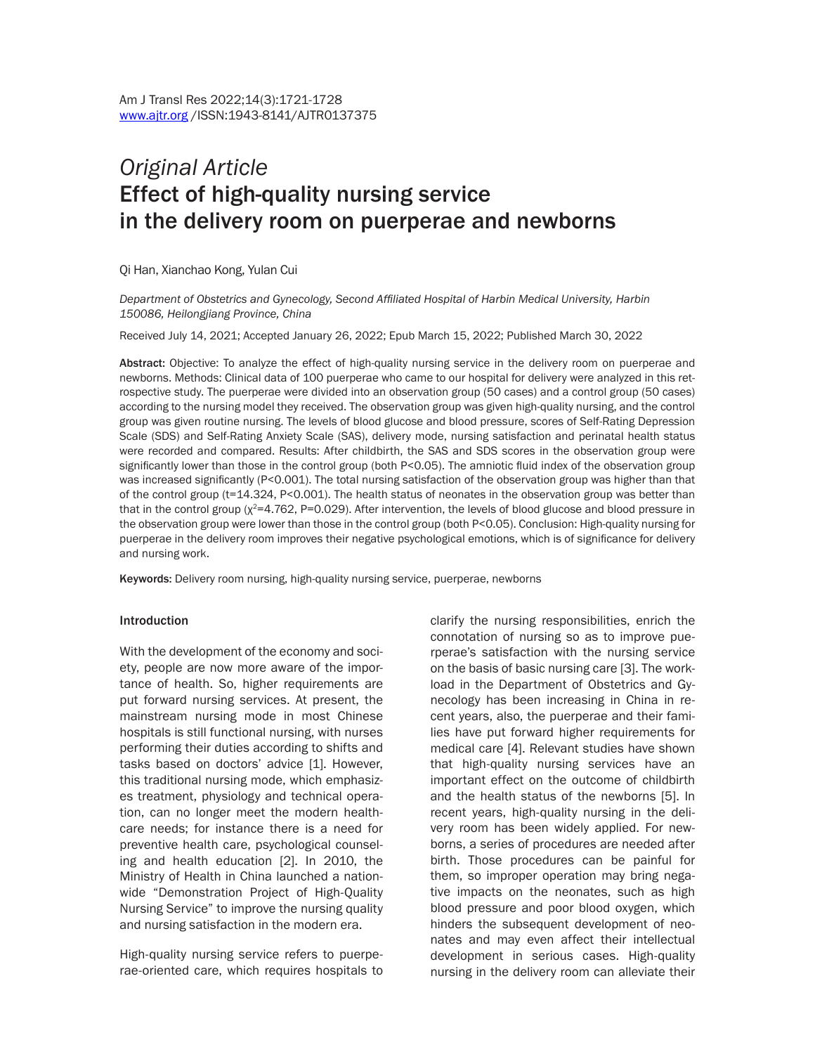# *Original Article* Effect of high-quality nursing service in the delivery room on puerperae and newborns

Qi Han, Xianchao Kong, Yulan Cui

*Department of Obstetrics and Gynecology, Second Affiliated Hospital of Harbin Medical University, Harbin 150086, Heilongjiang Province, China*

Received July 14, 2021; Accepted January 26, 2022; Epub March 15, 2022; Published March 30, 2022

Abstract: Objective: To analyze the effect of high-quality nursing service in the delivery room on puerperae and newborns. Methods: Clinical data of 100 puerperae who came to our hospital for delivery were analyzed in this retrospective study. The puerperae were divided into an observation group (50 cases) and a control group (50 cases) according to the nursing model they received. The observation group was given high-quality nursing, and the control group was given routine nursing. The levels of blood glucose and blood pressure, scores of Self-Rating Depression Scale (SDS) and Self-Rating Anxiety Scale (SAS), delivery mode, nursing satisfaction and perinatal health status were recorded and compared. Results: After childbirth, the SAS and SDS scores in the observation group were significantly lower than those in the control group (both P<0.05). The amniotic fluid index of the observation group was increased significantly (P<0.001). The total nursing satisfaction of the observation group was higher than that of the control group (t=14.324, P<0.001). The health status of neonates in the observation group was better than that in the control group ( $\chi^2$ =4.762, P=0.029). After intervention, the levels of blood glucose and blood pressure in the observation group were lower than those in the control group (both P<0.05). Conclusion: High-quality nursing for puerperae in the delivery room improves their negative psychological emotions, which is of significance for delivery and nursing work.

Keywords: Delivery room nursing, high-quality nursing service, puerperae, newborns

#### Introduction

With the development of the economy and society, people are now more aware of the importance of health. So, higher requirements are put forward nursing services. At present, the mainstream nursing mode in most Chinese hospitals is still functional nursing, with nurses performing their duties according to shifts and tasks based on doctors' advice [1]. However, this traditional nursing mode, which emphasizes treatment, physiology and technical operation, can no longer meet the modern healthcare needs; for instance there is a need for preventive health care, psychological counseling and health education [2]. In 2010, the Ministry of Health in China launched a nationwide "Demonstration Project of High-Quality Nursing Service" to improve the nursing quality and nursing satisfaction in the modern era.

High-quality nursing service refers to puerperae-oriented care, which requires hospitals to clarify the nursing responsibilities, enrich the connotation of nursing so as to improve puerperae's satisfaction with the nursing service on the basis of basic nursing care [3]. The workload in the Department of Obstetrics and Gynecology has been increasing in China in recent years, also, the puerperae and their families have put forward higher requirements for medical care [4]. Relevant studies have shown that high-quality nursing services have an important effect on the outcome of childbirth and the health status of the newborns [5]. In recent years, high-quality nursing in the delivery room has been widely applied. For newborns, a series of procedures are needed after birth. Those procedures can be painful for them, so improper operation may bring negative impacts on the neonates, such as high blood pressure and poor blood oxygen, which hinders the subsequent development of neonates and may even affect their intellectual development in serious cases. High-quality nursing in the delivery room can alleviate their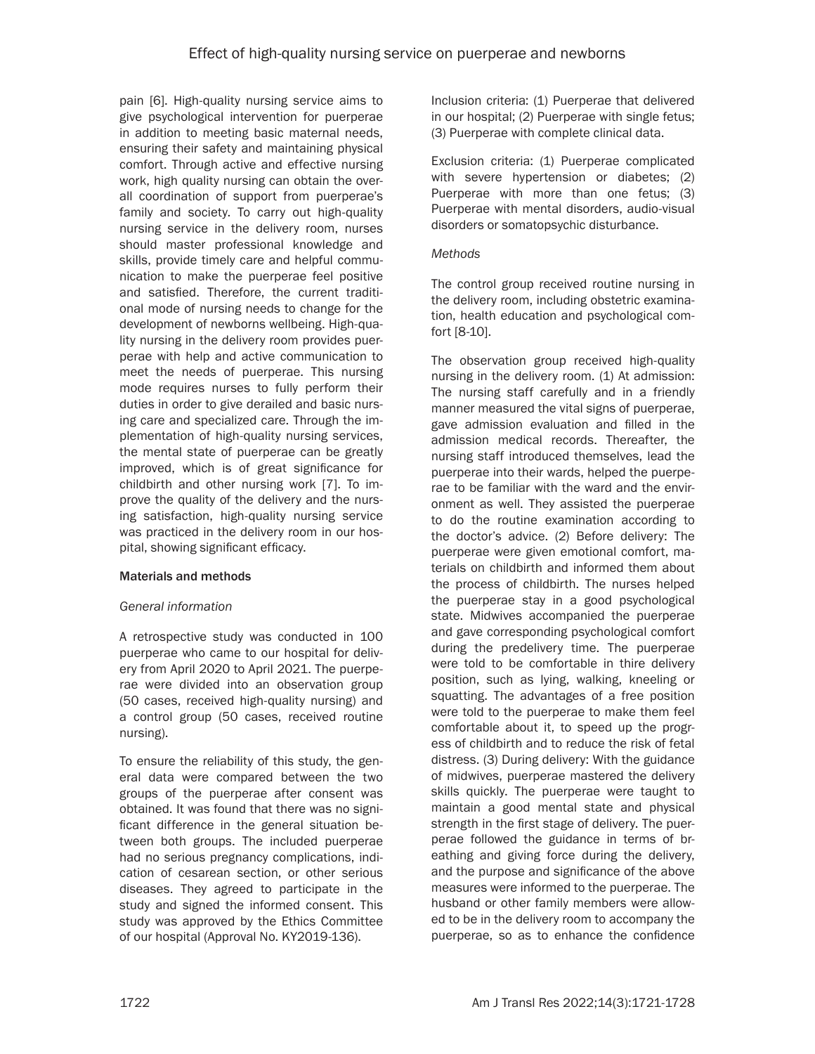pain [6]. High-quality nursing service aims to give psychological intervention for puerperae in addition to meeting basic maternal needs, ensuring their safety and maintaining physical comfort. Through active and effective nursing work, high quality nursing can obtain the overall coordination of support from puerperae's family and society. To carry out high-quality nursing service in the delivery room, nurses should master professional knowledge and skills, provide timely care and helpful communication to make the puerperae feel positive and satisfied. Therefore, the current traditional mode of nursing needs to change for the development of newborns wellbeing. High-quality nursing in the delivery room provides puerperae with help and active communication to meet the needs of puerperae. This nursing mode requires nurses to fully perform their duties in order to give derailed and basic nursing care and specialized care. Through the implementation of high-quality nursing services, the mental state of puerperae can be greatly improved, which is of great significance for childbirth and other nursing work [7]. To improve the quality of the delivery and the nursing satisfaction, high-quality nursing service was practiced in the delivery room in our hospital, showing significant efficacy.

# Materials and methods

# *General information*

A retrospective study was conducted in 100 puerperae who came to our hospital for delivery from April 2020 to April 2021. The puerperae were divided into an observation group (50 cases, received high-quality nursing) and a control group (50 cases, received routine nursing).

To ensure the reliability of this study, the general data were compared between the two groups of the puerperae after consent was obtained. It was found that there was no significant difference in the general situation between both groups. The included puerperae had no serious pregnancy complications, indication of cesarean section, or other serious diseases. They agreed to participate in the study and signed the informed consent. This study was approved by the Ethics Committee of our hospital (Approval No. KY2019-136).

Inclusion criteria: (1) Puerperae that delivered in our hospital; (2) Puerperae with single fetus; (3) Puerperae with complete clinical data.

Exclusion criteria: (1) Puerperae complicated with severe hypertension or diabetes; (2) Puerperae with more than one fetus; (3) Puerperae with mental disorders, audio-visual disorders or somatopsychic disturbance.

### *Methods*

The control group received routine nursing in the delivery room, including obstetric examination, health education and psychological comfort [8-10].

The observation group received high-quality nursing in the delivery room. (1) At admission: The nursing staff carefully and in a friendly manner measured the vital signs of puerperae, gave admission evaluation and filled in the admission medical records. Thereafter, the nursing staff introduced themselves, lead the puerperae into their wards, helped the puerperae to be familiar with the ward and the environment as well. They assisted the puerperae to do the routine examination according to the doctor's advice. (2) Before delivery: The puerperae were given emotional comfort, materials on childbirth and informed them about the process of childbirth. The nurses helped the puerperae stay in a good psychological state. Midwives accompanied the puerperae and gave corresponding psychological comfort during the predelivery time. The puerperae were told to be comfortable in thire delivery position, such as lying, walking, kneeling or squatting. The advantages of a free position were told to the puerperae to make them feel comfortable about it, to speed up the progress of childbirth and to reduce the risk of fetal distress. (3) During delivery: With the guidance of midwives, puerperae mastered the delivery skills quickly. The puerperae were taught to maintain a good mental state and physical strength in the first stage of delivery. The puerperae followed the guidance in terms of breathing and giving force during the delivery, and the purpose and significance of the above measures were informed to the puerperae. The husband or other family members were allowed to be in the delivery room to accompany the puerperae, so as to enhance the confidence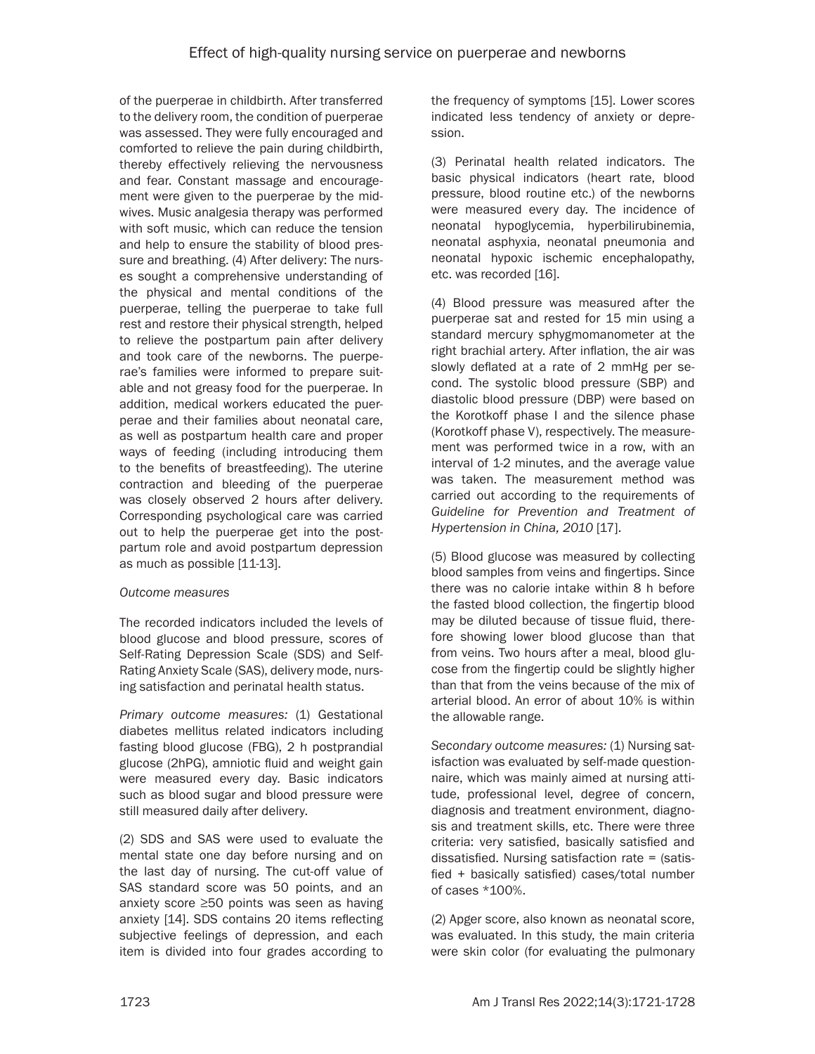of the puerperae in childbirth. After transferred to the delivery room, the condition of puerperae was assessed. They were fully encouraged and comforted to relieve the pain during childbirth, thereby effectively relieving the nervousness and fear. Constant massage and encouragement were given to the puerperae by the midwives. Music analgesia therapy was performed with soft music, which can reduce the tension and help to ensure the stability of blood pressure and breathing. (4) After delivery: The nurses sought a comprehensive understanding of the physical and mental conditions of the puerperae, telling the puerperae to take full rest and restore their physical strength, helped to relieve the postpartum pain after delivery and took care of the newborns. The puerperae's families were informed to prepare suitable and not greasy food for the puerperae. In addition, medical workers educated the puerperae and their families about neonatal care, as well as postpartum health care and proper ways of feeding (including introducing them to the benefits of breastfeeding). The uterine contraction and bleeding of the puerperae was closely observed 2 hours after delivery. Corresponding psychological care was carried out to help the puerperae get into the postpartum role and avoid postpartum depression as much as possible [11-13].

# *Outcome measures*

The recorded indicators included the levels of blood glucose and blood pressure, scores of Self-Rating Depression Scale (SDS) and Self-Rating Anxiety Scale (SAS), delivery mode, nursing satisfaction and perinatal health status.

*Primary outcome measures:* (1) Gestational diabetes mellitus related indicators including fasting blood glucose (FBG), 2 h postprandial glucose (2hPG), amniotic fluid and weight gain were measured every day. Basic indicators such as blood sugar and blood pressure were still measured daily after delivery.

(2) SDS and SAS were used to evaluate the mental state one day before nursing and on the last day of nursing. The cut-off value of SAS standard score was 50 points, and an anxiety score ≥50 points was seen as having anxiety [14]. SDS contains 20 items reflecting subjective feelings of depression, and each item is divided into four grades according to

the frequency of symptoms [15]. Lower scores indicated less tendency of anxiety or depression.

(3) Perinatal health related indicators. The basic physical indicators (heart rate, blood pressure, blood routine etc.) of the newborns were measured every day. The incidence of neonatal hypoglycemia, hyperbilirubinemia, neonatal asphyxia, neonatal pneumonia and neonatal hypoxic ischemic encephalopathy, etc. was recorded [16].

(4) Blood pressure was measured after the puerperae sat and rested for 15 min using a standard mercury sphygmomanometer at the right brachial artery. After inflation, the air was slowly deflated at a rate of 2 mmHg per second. The systolic blood pressure (SBP) and diastolic blood pressure (DBP) were based on the Korotkoff phase I and the silence phase (Korotkoff phase V), respectively. The measurement was performed twice in a row, with an interval of 1-2 minutes, and the average value was taken. The measurement method was carried out according to the requirements of *Guideline for Prevention and Treatment of Hypertension in China, 2010* [17].

(5) Blood glucose was measured by collecting blood samples from veins and fingertips. Since there was no calorie intake within 8 h before the fasted blood collection, the fingertip blood may be diluted because of tissue fluid, therefore showing lower blood glucose than that from veins. Two hours after a meal, blood glucose from the fingertip could be slightly higher than that from the veins because of the mix of arterial blood. An error of about 10% is within the allowable range.

*Secondary outcome measures:* (1) Nursing satisfaction was evaluated by self-made questionnaire, which was mainly aimed at nursing attitude, professional level, degree of concern, diagnosis and treatment environment, diagnosis and treatment skills, etc. There were three criteria: very satisfied, basically satisfied and dissatisfied. Nursing satisfaction rate = (satisfied + basically satisfied) cases/total number of cases \*100%.

(2) Apger score, also known as neonatal score, was evaluated. In this study, the main criteria were skin color (for evaluating the pulmonary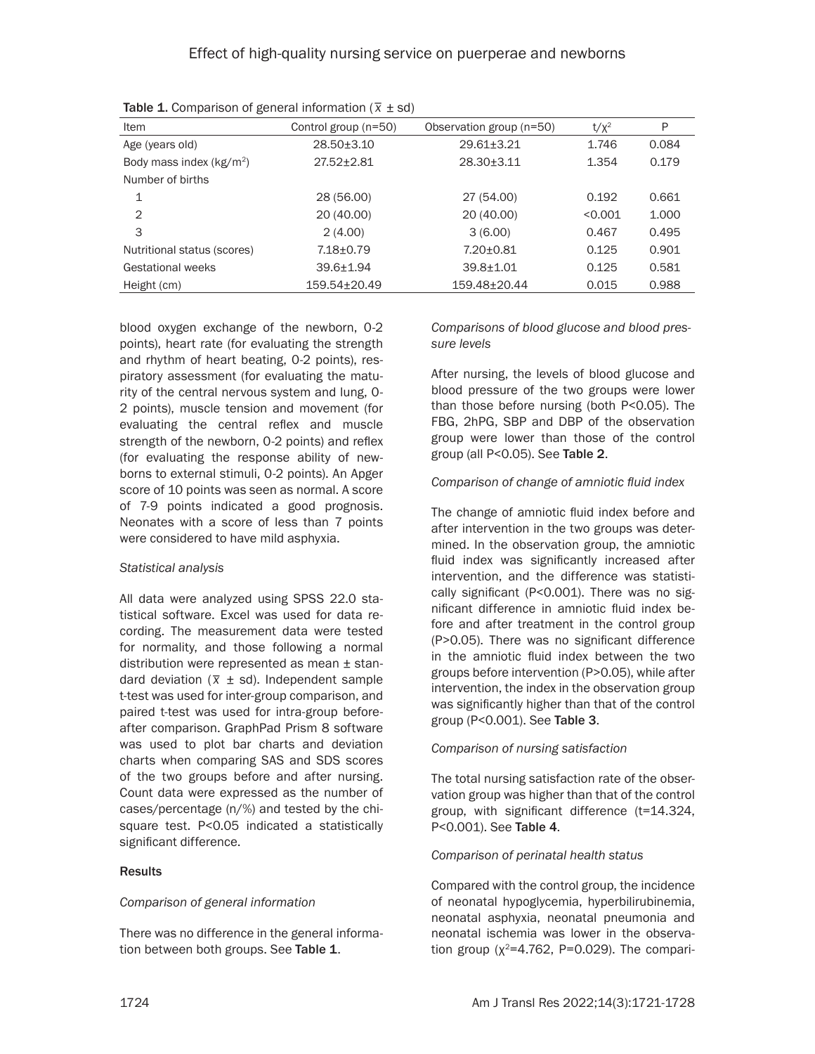| ັ                           |                      |                          |         |       |
|-----------------------------|----------------------|--------------------------|---------|-------|
| Item                        | Control group (n=50) | Observation group (n=50) | $t/x^2$ | P     |
| Age (years old)             | $28.50 + 3.10$       | $29.61 \pm 3.21$         | 1.746   | 0.084 |
| Body mass index $(kg/m2)$   | $27.52 \pm 2.81$     | $28.30 \pm 3.11$         | 1.354   | 0.179 |
| Number of births            |                      |                          |         |       |
| 1                           | 28 (56.00)           | 27 (54.00)               | 0.192   | 0.661 |
| 2                           | 20 (40.00)           | 20 (40.00)               | < 0.001 | 1.000 |
| 3                           | 2(4.00)              | 3(6.00)                  | 0.467   | 0.495 |
| Nutritional status (scores) | $7.18 + 0.79$        | $7.20 \pm 0.81$          | 0.125   | 0.901 |
| <b>Gestational weeks</b>    | $39.6 + 1.94$        | $39.8 + 1.01$            | 0.125   | 0.581 |
| Height (cm)                 | $159.54 \pm 20.49$   | 159.48±20.44             | 0.015   | 0.988 |

**Table 1.** Comparison of general information ( $\bar{x}$   $\pm$  sd)

blood oxygen exchange of the newborn, 0-2 points), heart rate (for evaluating the strength and rhythm of heart beating, 0-2 points), respiratory assessment (for evaluating the maturity of the central nervous system and lung, 0- 2 points), muscle tension and movement (for evaluating the central reflex and muscle strength of the newborn, 0-2 points) and reflex (for evaluating the response ability of newborns to external stimuli, 0-2 points). An Apger score of 10 points was seen as normal. A score of 7-9 points indicated a good prognosis. Neonates with a score of less than 7 points were considered to have mild asphyxia.

#### *Statistical analysis*

All data were analyzed using SPSS 22.0 statistical software. Excel was used for data recording. The measurement data were tested for normality, and those following a normal distribution were represented as mean ± standard deviation  $(\bar{x} \pm sd)$ . Independent sample t-test was used for inter-group comparison, and paired t-test was used for intra-group beforeafter comparison. GraphPad Prism 8 software was used to plot bar charts and deviation charts when comparing SAS and SDS scores of the two groups before and after nursing. Count data were expressed as the number of cases/percentage (n/%) and tested by the chisquare test. P<0.05 indicated a statistically significant difference.

#### **Results**

# *Comparison of general information*

There was no difference in the general information between both groups. See Table 1.

*Comparisons of blood glucose and blood pressure levels*

After nursing, the levels of blood glucose and blood pressure of the two groups were lower than those before nursing (both P<0.05). The FBG, 2hPG, SBP and DBP of the observation group were lower than those of the control group (all P<0.05). See Table 2.

#### *Comparison of change of amniotic fluid index*

The change of amniotic fluid index before and after intervention in the two groups was determined. In the observation group, the amniotic fluid index was significantly increased after intervention, and the difference was statistically significant (P<0.001). There was no significant difference in amniotic fluid index before and after treatment in the control group (P>0.05). There was no significant difference in the amniotic fluid index between the two groups before intervention (P>0.05), while after intervention, the index in the observation group was significantly higher than that of the control group (P<0.001). See Table 3.

#### *Comparison of nursing satisfaction*

The total nursing satisfaction rate of the observation group was higher than that of the control group, with significant difference (t=14.324, P<0.001). See Table 4.

#### *Comparison of perinatal health status*

Compared with the control group, the incidence of neonatal hypoglycemia, hyperbilirubinemia, neonatal asphyxia, neonatal pneumonia and neonatal ischemia was lower in the observation group ( $\chi^2$ =4.762, P=0.029). The compari-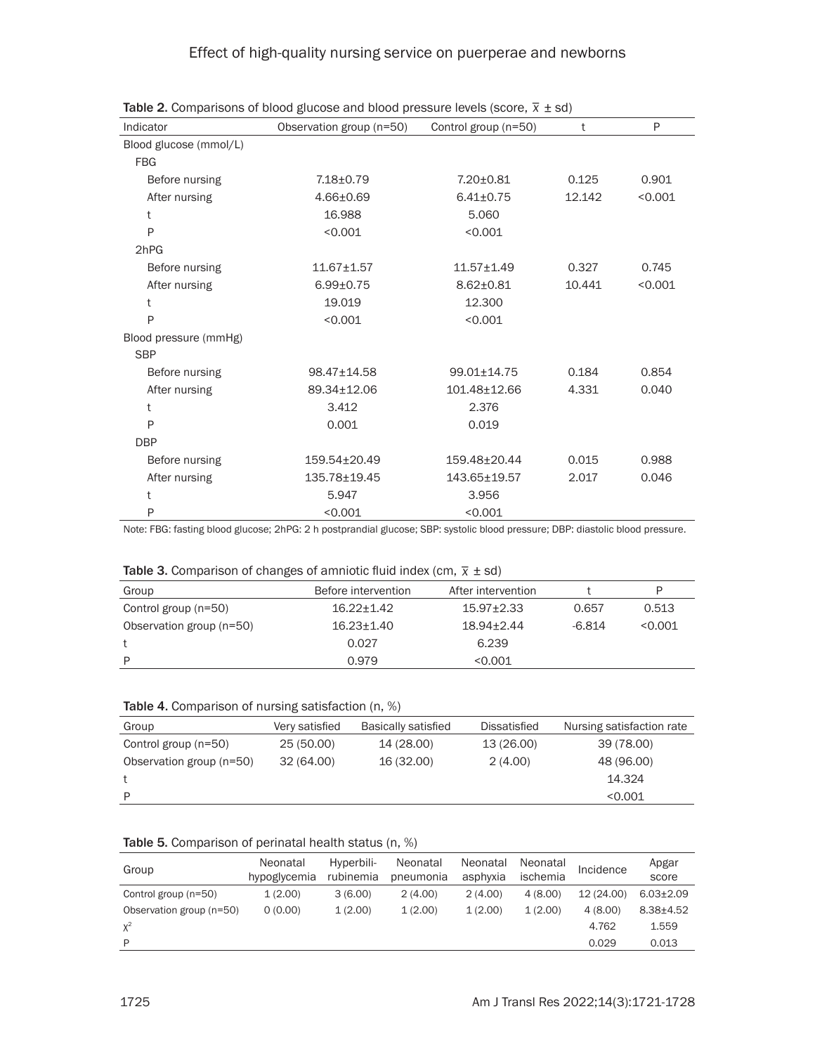| Indicator              | Observation group (n=50) | Control group (n=50) | t      | P       |
|------------------------|--------------------------|----------------------|--------|---------|
| Blood glucose (mmol/L) |                          |                      |        |         |
| <b>FBG</b>             |                          |                      |        |         |
| Before nursing         | 7.18±0.79                | 7.20±0.81            | 0.125  | 0.901   |
| After nursing          | $4.66 \pm 0.69$          | $6.41 \pm 0.75$      | 12.142 | < 0.001 |
| t                      | 16.988                   | 5.060                |        |         |
| P                      | < 0.001                  | < 0.001              |        |         |
| 2hPG                   |                          |                      |        |         |
| Before nursing         | $11.67 + 1.57$           | $11.57 \pm 1.49$     | 0.327  | 0.745   |
| After nursing          | $6.99 \pm 0.75$          | $8.62 \pm 0.81$      | 10.441 | < 0.001 |
| t                      | 19.019                   | 12.300               |        |         |
| P                      | < 0.001                  | < 0.001              |        |         |
| Blood pressure (mmHg)  |                          |                      |        |         |
| <b>SBP</b>             |                          |                      |        |         |
| Before nursing         | 98.47±14.58              | 99.01±14.75          | 0.184  | 0.854   |
| After nursing          | 89.34±12.06              | 101.48±12.66         | 4.331  | 0.040   |
| t                      | 3.412                    | 2.376                |        |         |
| P                      | 0.001                    | 0.019                |        |         |
| <b>DBP</b>             |                          |                      |        |         |
| Before nursing         | 159.54±20.49             | 159.48±20.44         | 0.015  | 0.988   |
| After nursing          | 135.78±19.45             | 143.65±19.57         | 2.017  | 0.046   |
| t                      | 5.947                    | 3.956                |        |         |
| P                      | < 0.001                  | < 0.001              |        |         |

**Table 2.** Comparisons of blood glucose and blood pressure levels (score,  $\overline{x}$   $\pm$  sd)

Note: FBG: fasting blood glucose; 2hPG: 2 h postprandial glucose; SBP: systolic blood pressure; DBP: diastolic blood pressure.

# **Table 3.** Comparison of changes of amniotic fluid index (cm,  $\bar{x}$   $\pm$  sd)

| <b>Takis of companion of changed of aminocionara mack (only <math>\Lambda \cong</math> 04/</b> |                     |                    |          |         |  |  |
|------------------------------------------------------------------------------------------------|---------------------|--------------------|----------|---------|--|--|
| Group                                                                                          | Before intervention | After intervention |          | P       |  |  |
| Control group (n=50)                                                                           | $16.22 + 1.42$      | $15.97 + 2.33$     | 0.657    | 0.513   |  |  |
| Observation group (n=50)                                                                       | $16.23 + 1.40$      | 18.94+2.44         | $-6.814$ | < 0.001 |  |  |
|                                                                                                | 0.027               | 6.239              |          |         |  |  |
| P                                                                                              | 0.979               | < 0.001            |          |         |  |  |
|                                                                                                |                     |                    |          |         |  |  |

|  | Table 4. Comparison of nursing satisfaction (n, %) |  |  |  |  |
|--|----------------------------------------------------|--|--|--|--|
|--|----------------------------------------------------|--|--|--|--|

| <b>Table 11 Companion of marching cational control (iii)</b> |                |                            |                     |                           |  |  |  |  |
|--------------------------------------------------------------|----------------|----------------------------|---------------------|---------------------------|--|--|--|--|
| Group                                                        | Very satisfied | <b>Basically satisfied</b> | <b>Dissatisfied</b> | Nursing satisfaction rate |  |  |  |  |
| Control group (n=50)                                         | 25 (50.00)     | 14 (28.00)                 | 13 (26.00)          | 39 (78.00)                |  |  |  |  |
| Observation group (n=50)                                     | 32 (64.00)     | 16 (32.00)                 | 2(4.00)             | 48 (96.00)                |  |  |  |  |
|                                                              |                |                            |                     | 14.324                    |  |  |  |  |
| P                                                            |                |                            |                     | < 0.001                   |  |  |  |  |

| Table 5. Comparison of perinatal health status (n, %) |  |  |  |  |  |
|-------------------------------------------------------|--|--|--|--|--|
|-------------------------------------------------------|--|--|--|--|--|

| Group                    | Neonatal<br>hypoglycemia | Hyperbili-<br>rubinemia | Neonatal<br>pneumonia | Neonatal<br>asphyxia | Neonatal<br>ischemia | Incidence  | Apgar<br>score  |
|--------------------------|--------------------------|-------------------------|-----------------------|----------------------|----------------------|------------|-----------------|
| Control group (n=50)     | 1(2.00)                  | 3(6.00)                 | 2(4.00)               | 2(4.00)              | 4(8.00)              | 12 (24.00) | $6.03 \pm 2.09$ |
| Observation group (n=50) | 0(0.00)                  | 1(2.00)                 | 1(2.00)               | 1(2.00)              | 1(2.00)              | 4(8.00)    | $8.38 \pm 4.52$ |
| $X^2$                    |                          |                         |                       |                      |                      | 4.762      | 1.559           |
| P                        |                          |                         |                       |                      |                      | 0.029      | 0.013           |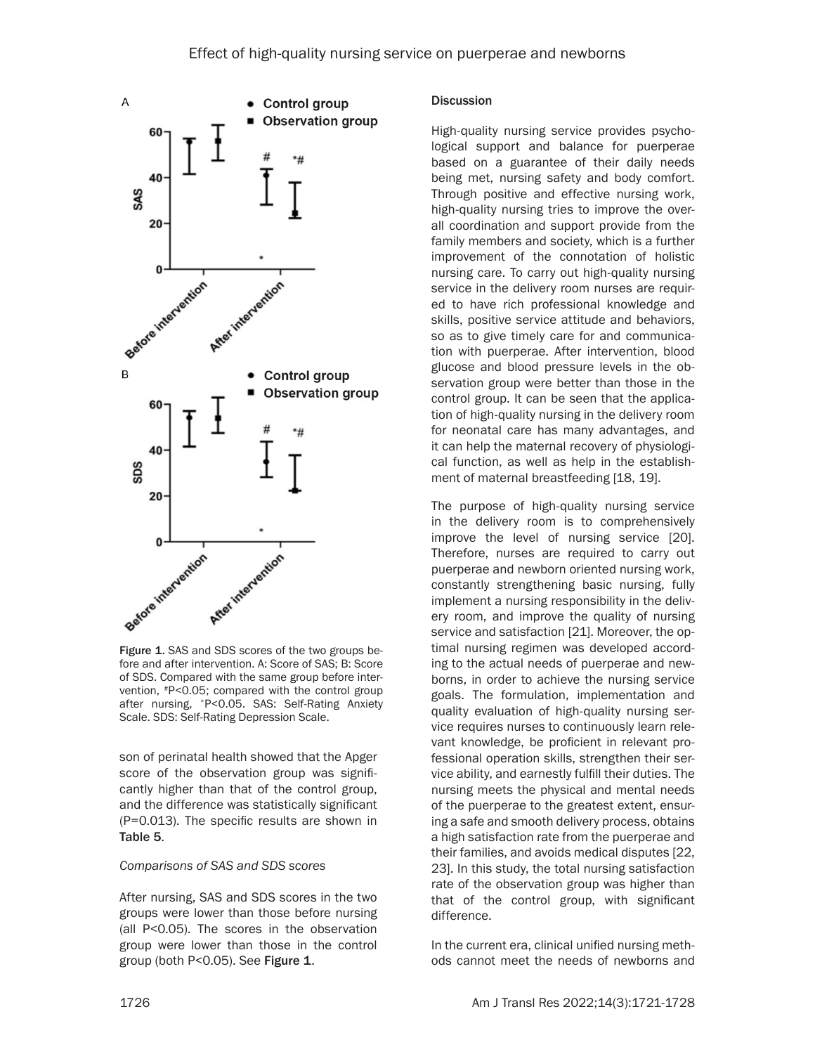

Figure 1. SAS and SDS scores of the two groups before and after intervention. A: Score of SAS; B: Score of SDS. Compared with the same group before intervention, #P<0.05; compared with the control group after nursing, \*P<0.05. SAS: Self-Rating Anxiety Scale. SDS: Self-Rating Depression Scale.

son of perinatal health showed that the Apger score of the observation group was significantly higher than that of the control group, and the difference was statistically significant (P=0.013). The specific results are shown in Table 5.

#### *Comparisons of SAS and SDS scores*

After nursing, SAS and SDS scores in the two groups were lower than those before nursing (all P<0.05). The scores in the observation group were lower than those in the control group (both P<0.05). See Figure 1.

#### **Discussion**

High-quality nursing service provides psychological support and balance for puerperae based on a guarantee of their daily needs being met, nursing safety and body comfort. Through positive and effective nursing work, high-quality nursing tries to improve the overall coordination and support provide from the family members and society, which is a further improvement of the connotation of holistic nursing care. To carry out high-quality nursing service in the delivery room nurses are required to have rich professional knowledge and skills, positive service attitude and behaviors, so as to give timely care for and communication with puerperae. After intervention, blood glucose and blood pressure levels in the observation group were better than those in the control group. It can be seen that the application of high-quality nursing in the delivery room for neonatal care has many advantages, and it can help the maternal recovery of physiological function, as well as help in the establishment of maternal breastfeeding [18, 19].

The purpose of high-quality nursing service in the delivery room is to comprehensively improve the level of nursing service [20]. Therefore, nurses are required to carry out puerperae and newborn oriented nursing work, constantly strengthening basic nursing, fully implement a nursing responsibility in the delivery room, and improve the quality of nursing service and satisfaction [21]. Moreover, the optimal nursing regimen was developed according to the actual needs of puerperae and newborns, in order to achieve the nursing service goals. The formulation, implementation and quality evaluation of high-quality nursing service requires nurses to continuously learn relevant knowledge, be proficient in relevant professional operation skills, strengthen their service ability, and earnestly fulfill their duties. The nursing meets the physical and mental needs of the puerperae to the greatest extent, ensuring a safe and smooth delivery process, obtains a high satisfaction rate from the puerperae and their families, and avoids medical disputes [22, 23]. In this study, the total nursing satisfaction rate of the observation group was higher than that of the control group, with significant difference.

In the current era, clinical unified nursing methods cannot meet the needs of newborns and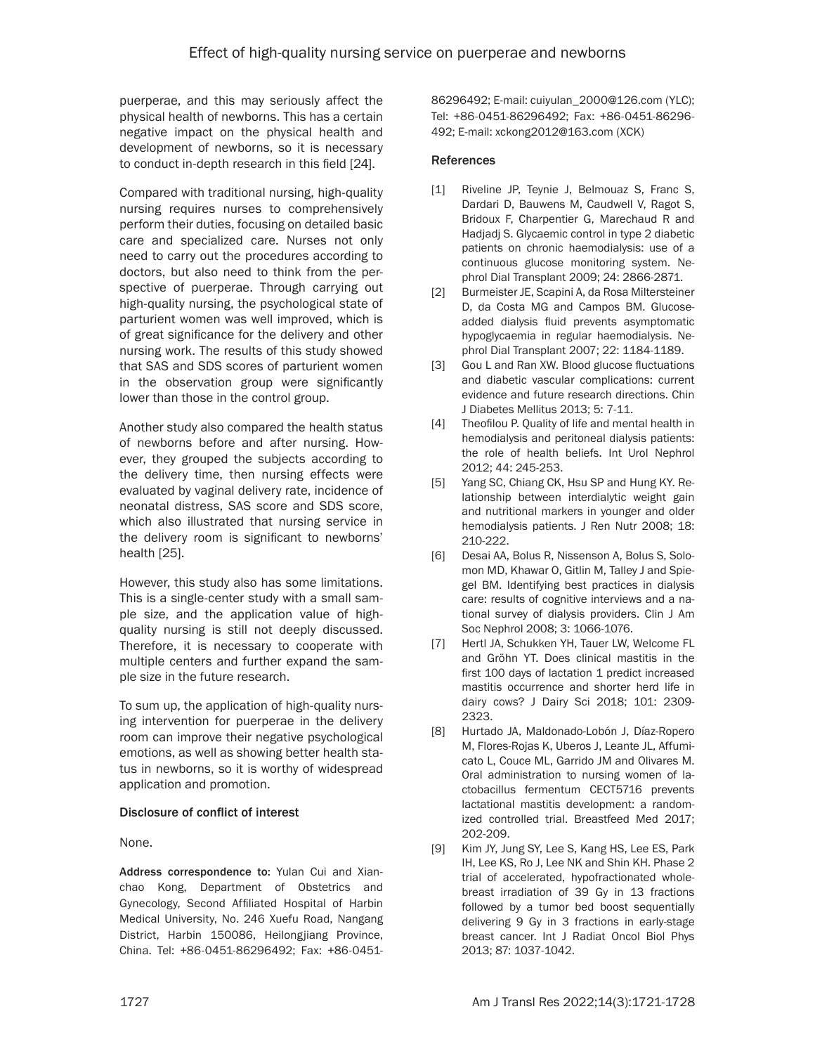puerperae, and this may seriously affect the physical health of newborns. This has a certain negative impact on the physical health and development of newborns, so it is necessary to conduct in-depth research in this field [24].

Compared with traditional nursing, high-quality nursing requires nurses to comprehensively perform their duties, focusing on detailed basic care and specialized care. Nurses not only need to carry out the procedures according to doctors, but also need to think from the perspective of puerperae. Through carrying out high-quality nursing, the psychological state of parturient women was well improved, which is of great significance for the delivery and other nursing work. The results of this study showed that SAS and SDS scores of parturient women in the observation group were significantly lower than those in the control group.

Another study also compared the health status of newborns before and after nursing. However, they grouped the subjects according to the delivery time, then nursing effects were evaluated by vaginal delivery rate, incidence of neonatal distress, SAS score and SDS score, which also illustrated that nursing service in the delivery room is significant to newborns' health [25].

However, this study also has some limitations. This is a single-center study with a small sample size, and the application value of highquality nursing is still not deeply discussed. Therefore, it is necessary to cooperate with multiple centers and further expand the sample size in the future research.

To sum up, the application of high-quality nursing intervention for puerperae in the delivery room can improve their negative psychological emotions, as well as showing better health status in newborns, so it is worthy of widespread application and promotion.

# Disclosure of conflict of interest

None.

Address correspondence to: Yulan Cui and Xianchao Kong, Department of Obstetrics and Gynecology, Second Affiliated Hospital of Harbin Medical University, No. 246 Xuefu Road, Nangang District, Harbin 150086, Heilongjiang Province, China. Tel: +86-0451-86296492; Fax: +86-045186296492; E-mail: [cuiyulan\\_2000@126.com](mailto:cuiyulan_2000@126.com) (YLC); Tel: +86-0451-86296492; Fax: +86-0451-86296- 492; E-mail: [xckong2012@163.com](mailto:xckong2012@163.com) (XCK)

# References

- [1] Riveline JP, Teynie J, Belmouaz S, Franc S, Dardari D, Bauwens M, Caudwell V, Ragot S, Bridoux F, Charpentier G, Marechaud R and Hadjadj S. Glycaemic control in type 2 diabetic patients on chronic haemodialysis: use of a continuous glucose monitoring system. Nephrol Dial Transplant 2009; 24: 2866-2871.
- [2] Burmeister JE, Scapini A, da Rosa Miltersteiner D, da Costa MG and Campos BM. Glucoseadded dialysis fluid prevents asymptomatic hypoglycaemia in regular haemodialysis. Nephrol Dial Transplant 2007; 22: 1184-1189.
- [3] Gou L and Ran XW. Blood glucose fluctuations and diabetic vascular complications: current evidence and future research directions. Chin J Diabetes Mellitus 2013; 5: 7-11.
- [4] Theofilou P. Quality of life and mental health in hemodialysis and peritoneal dialysis patients: the role of health beliefs. Int Urol Nephrol 2012; 44: 245-253.
- [5] Yang SC, Chiang CK, Hsu SP and Hung KY. Relationship between interdialytic weight gain and nutritional markers in younger and older hemodialysis patients. J Ren Nutr 2008; 18: 210-222.
- [6] Desai AA, Bolus R, Nissenson A, Bolus S, Solomon MD, Khawar O, Gitlin M, Talley J and Spiegel BM. Identifying best practices in dialysis care: results of cognitive interviews and a national survey of dialysis providers. Clin J Am Soc Nephrol 2008; 3: 1066-1076.
- [7] Hertl JA, Schukken YH, Tauer LW, Welcome FL and Gröhn YT. Does clinical mastitis in the first 100 days of lactation 1 predict increased mastitis occurrence and shorter herd life in dairy cows? J Dairy Sci 2018; 101: 2309- 2323.
- [8] Hurtado JA, Maldonado-Lobón J, Díaz-Ropero M, Flores-Rojas K, Uberos J, Leante JL, Affumicato L, Couce ML, Garrido JM and Olivares M. Oral administration to nursing women of lactobacillus fermentum CECT5716 prevents lactational mastitis development: a randomized controlled trial. Breastfeed Med 2017; 202-209.
- [9] Kim JY, Jung SY, Lee S, Kang HS, Lee ES, Park IH, Lee KS, Ro J, Lee NK and Shin KH. Phase 2 trial of accelerated, hypofractionated wholebreast irradiation of 39 Gy in 13 fractions followed by a tumor bed boost sequentially delivering 9 Gy in 3 fractions in early-stage breast cancer. Int J Radiat Oncol Biol Phys 2013; 87: 1037-1042.